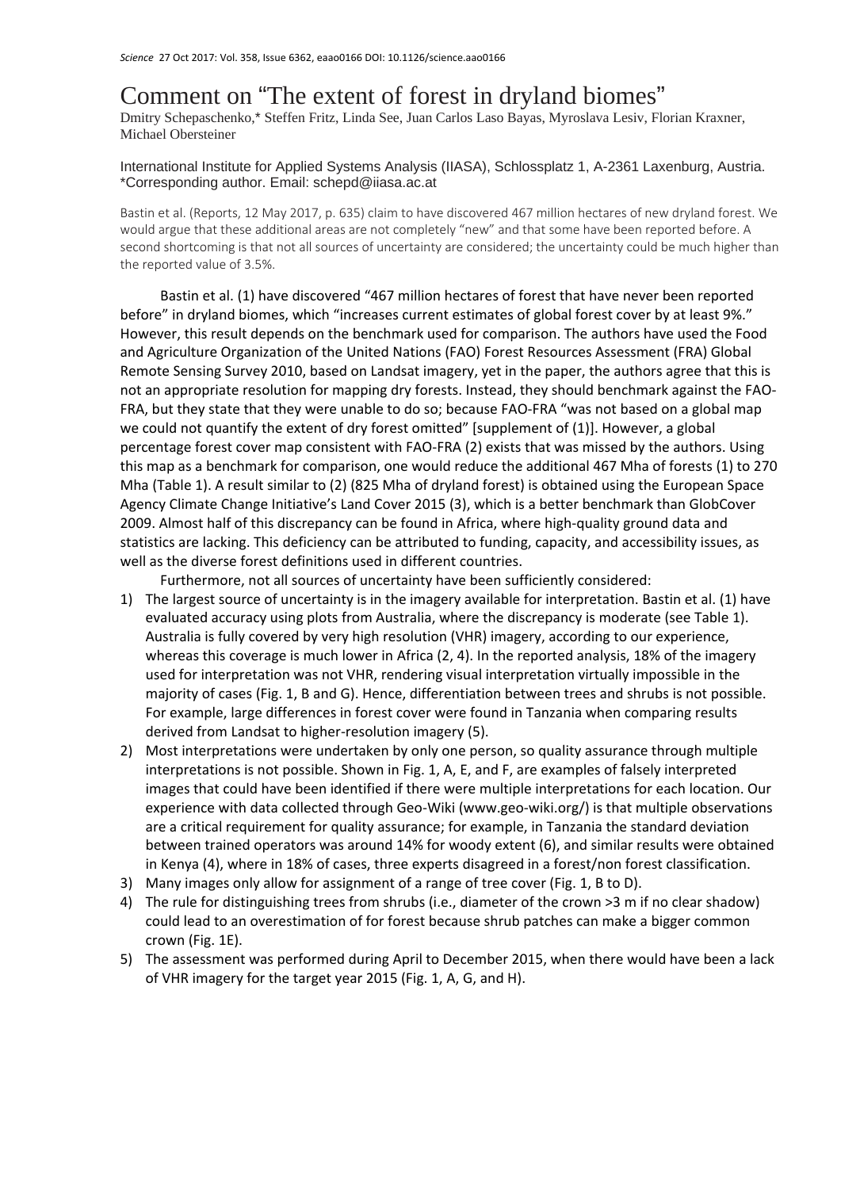## Comment on "The extent of forest in dryland biomes"

Dmitry Schepaschenko,\* Steffen Fritz, Linda See, Juan Carlos Laso Bayas, Myroslava Lesiv, Florian Kraxner, Michael Obersteiner

## International Institute for Applied Systems Analysis (IIASA), Schlossplatz 1, A-2361 Laxenburg, Austria. \*Corresponding author. Email: schepd@iiasa.ac.at

Bastin et al. (Reports, 12 May 2017, p. 635) claim to have discovered 467 million hectares of new dryland forest. We would argue that these additional areas are not completely "new" and that some have been reported before. A second shortcoming is that not all sources of uncertainty are considered; the uncertainty could be much higher than the reported value of 3.5%.

Bastin et al. (1) have discovered "467 million hectares of forest that have never been reported before" in dryland biomes, which "increases current estimates of global forest cover by at least 9%." However, this result depends on the benchmark used for comparison. The authors have used the Food and Agriculture Organization of the United Nations (FAO) Forest Resources Assessment (FRA) Global Remote Sensing Survey 2010, based on Landsat imagery, yet in the paper, the authors agree that this is not an appropriate resolution for mapping dry forests. Instead, they should benchmark against the FAO‐ FRA, but they state that they were unable to do so; because FAO-FRA "was not based on a global map we could not quantify the extent of dry forest omitted" [supplement of (1)]. However, a global percentage forest cover map consistent with FAO‐FRA (2) exists that was missed by the authors. Using this map as a benchmark for comparison, one would reduce the additional 467 Mha of forests (1) to 270 Mha (Table 1). A result similar to (2) (825 Mha of dryland forest) is obtained using the European Space Agency Climate Change Initiative's Land Cover 2015 (3), which is a better benchmark than GlobCover 2009. Almost half of this discrepancy can be found in Africa, where high‐quality ground data and statistics are lacking. This deficiency can be attributed to funding, capacity, and accessibility issues, as well as the diverse forest definitions used in different countries.

Furthermore, not all sources of uncertainty have been sufficiently considered:

- 1) The largest source of uncertainty is in the imagery available for interpretation. Bastin et al. (1) have evaluated accuracy using plots from Australia, where the discrepancy is moderate (see Table 1). Australia is fully covered by very high resolution (VHR) imagery, according to our experience, whereas this coverage is much lower in Africa (2, 4). In the reported analysis, 18% of the imagery used for interpretation was not VHR, rendering visual interpretation virtually impossible in the majority of cases (Fig. 1, B and G). Hence, differentiation between trees and shrubs is not possible. For example, large differences in forest cover were found in Tanzania when comparing results derived from Landsat to higher-resolution imagery (5).
- 2) Most interpretations were undertaken by only one person, so quality assurance through multiple interpretations is not possible. Shown in Fig. 1, A, E, and F, are examples of falsely interpreted images that could have been identified if there were multiple interpretations for each location. Our experience with data collected through Geo-Wiki (www.geo-wiki.org/) is that multiple observations are a critical requirement for quality assurance; for example, in Tanzania the standard deviation between trained operators was around 14% for woody extent (6), and similar results were obtained in Kenya (4), where in 18% of cases, three experts disagreed in a forest/non forest classification.
- 3) Many images only allow for assignment of a range of tree cover (Fig. 1, B to D).
- 4) The rule for distinguishing trees from shrubs (i.e., diameter of the crown >3 m if no clear shadow) could lead to an overestimation of for forest because shrub patches can make a bigger common crown (Fig. 1E).
- 5) The assessment was performed during April to December 2015, when there would have been a lack of VHR imagery for the target year 2015 (Fig. 1, A, G, and H).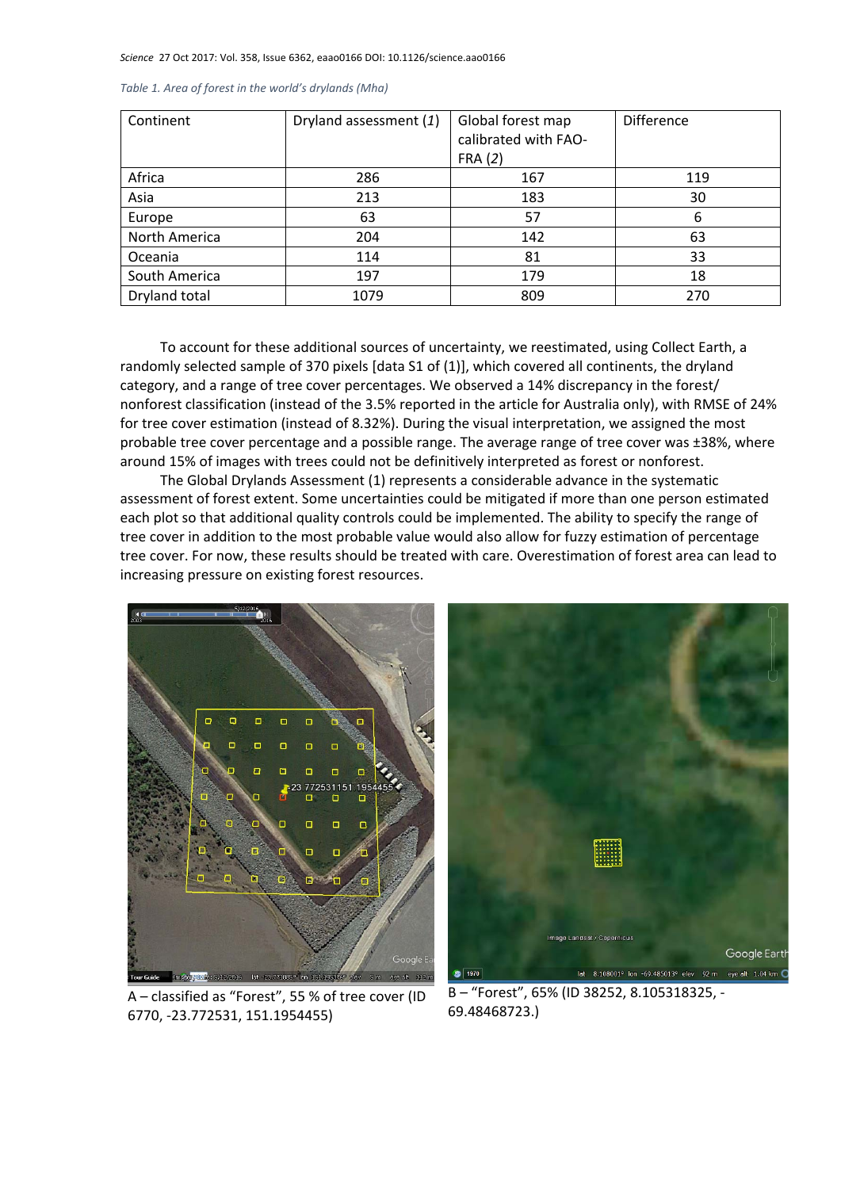*Science* 27 Oct 2017: Vol. 358, Issue 6362, eaao0166 DOI: 10.1126/science.aao0166

| Continent     | Dryland assessment (1) | Global forest map<br>calibrated with FAO- | <b>Difference</b> |
|---------------|------------------------|-------------------------------------------|-------------------|
|               |                        | FRA(2)                                    |                   |
| Africa        | 286                    | 167                                       | 119               |
| Asia          | 213                    | 183                                       | 30                |
| Europe        | 63                     | 57                                        | 6                 |
| North America | 204                    | 142                                       | 63                |
| Oceania       | 114                    | 81                                        | 33                |
| South America | 197                    | 179                                       | 18                |
| Dryland total | 1079                   | 809                                       | 270               |

*Table 1. Area of forest in the world's drylands (Mha)* 

To account for these additional sources of uncertainty, we reestimated, using Collect Earth, a randomly selected sample of 370 pixels [data S1 of (1)], which covered all continents, the dryland category, and a range of tree cover percentages. We observed a 14% discrepancy in the forest/ nonforest classification (instead of the 3.5% reported in the article for Australia only), with RMSE of 24% for tree cover estimation (instead of 8.32%). During the visual interpretation, we assigned the most probable tree cover percentage and a possible range. The average range of tree cover was ±38%, where around 15% of images with trees could not be definitively interpreted as forest or nonforest.

The Global Drylands Assessment (1) represents a considerable advance in the systematic assessment of forest extent. Some uncertainties could be mitigated if more than one person estimated each plot so that additional quality controls could be implemented. The ability to specify the range of tree cover in addition to the most probable value would also allow for fuzzy estimation of percentage tree cover. For now, these results should be treated with care. Overestimation of forest area can lead to increasing pressure on existing forest resources.



mage Landsat / Copernicus Google Earth lat  $8.108001^{\circ}$  lon -69.485013° elev 92 m eye alt 1.04 km  $2 | 1970 |$ 

A – classified as "Forest", 55 % of tree cover (ID 6770, ‐23.772531, 151.1954455)

B – "Forest", 65% (ID 38252, 8.105318325, ‐ 69.48468723.)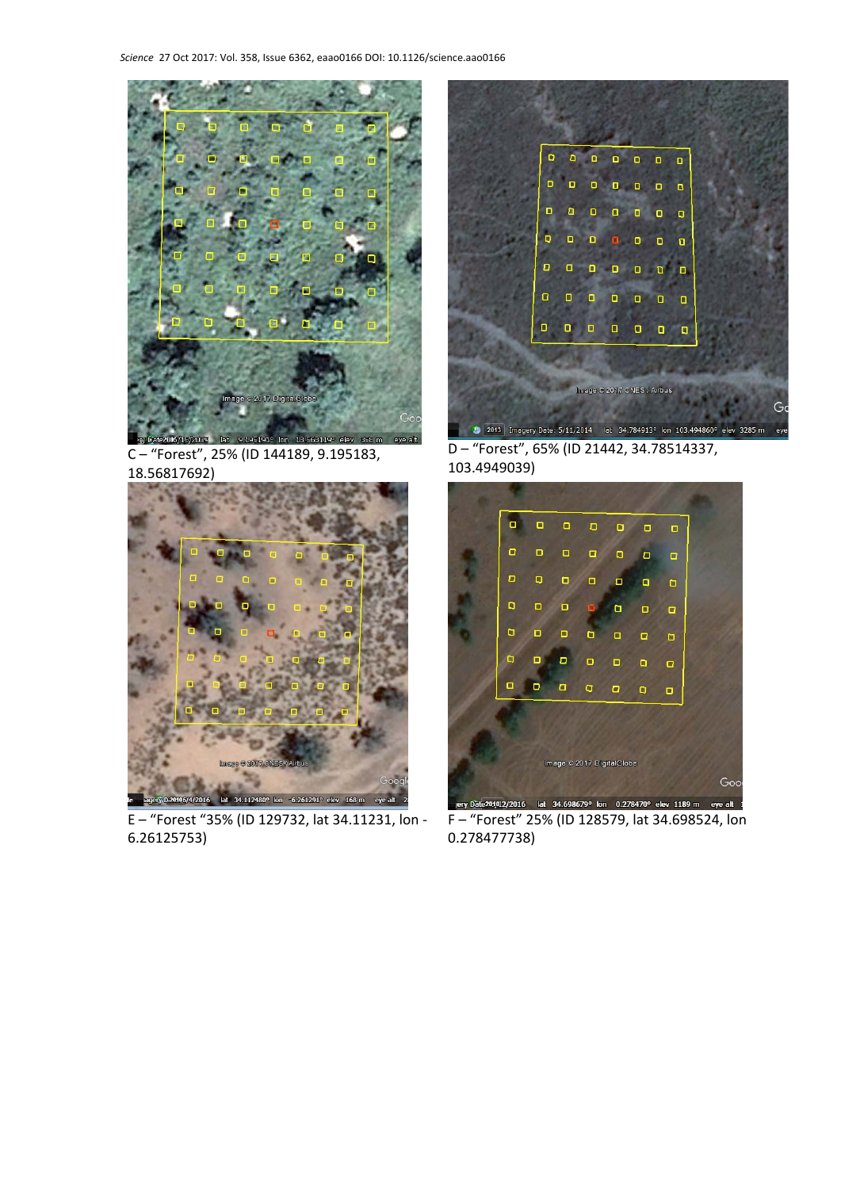

C – "Forest", 25% (ID 144189, 9.195183, 18.56817692)



E – "Forest "35% (ID 129732, lat 34.11231, lon ‐ 6.26125753)



D – "Forest", 65% (ID 21442, 34.78514337, 103.4949039)



F – "Forest" 25% (ID 128579, lat 34.698524, lon 0.278477738)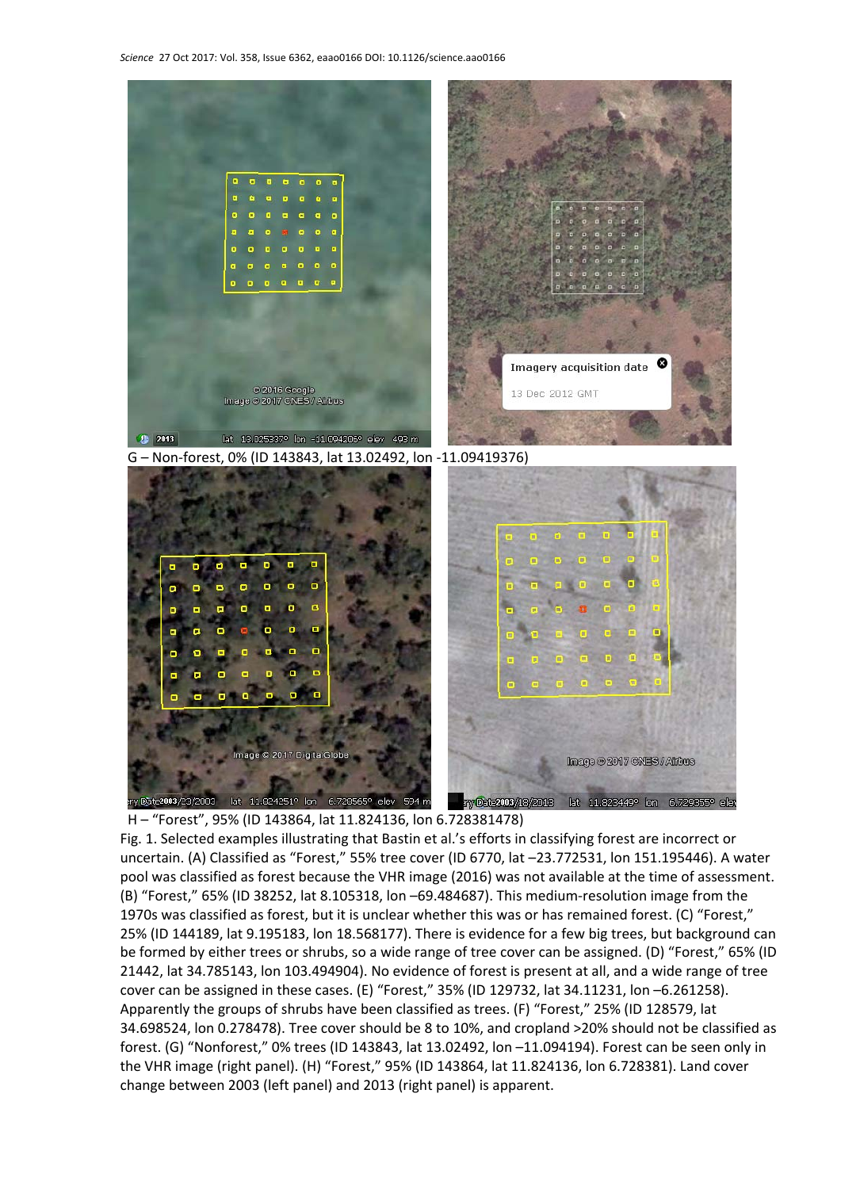

G – Non‐forest, 0% (ID 143843, lat 13.02492, lon ‐11.09419376)



H – "Forest", 95% (ID 143864, lat 11.824136, lon 6.728381478) Fig. 1. Selected examples illustrating that Bastin et al.'s efforts in classifying forest are incorrect or uncertain. (A) Classified as "Forest," 55% tree cover (ID 6770, lat –23.772531, lon 151.195446). A water pool was classified as forest because the VHR image (2016) was not available at the time of assessment. (B) "Forest," 65% (ID 38252, lat 8.105318, lon –69.484687). This medium‐resolution image from the 1970s was classified as forest, but it is unclear whether this was or has remained forest. (C) "Forest," 25% (ID 144189, lat 9.195183, lon 18.568177). There is evidence for a few big trees, but background can be formed by either trees or shrubs, so a wide range of tree cover can be assigned. (D) "Forest," 65% (ID 21442, lat 34.785143, lon 103.494904). No evidence of forest is present at all, and a wide range of tree cover can be assigned in these cases. (E) "Forest," 35% (ID 129732, lat 34.11231, lon –6.261258). Apparently the groups of shrubs have been classified as trees. (F) "Forest," 25% (ID 128579, lat 34.698524, lon 0.278478). Tree cover should be 8 to 10%, and cropland >20% should not be classified as forest. (G) "Nonforest," 0% trees (ID 143843, lat 13.02492, lon –11.094194). Forest can be seen only in the VHR image (right panel). (H) "Forest," 95% (ID 143864, lat 11.824136, lon 6.728381). Land cover change between 2003 (left panel) and 2013 (right panel) is apparent.